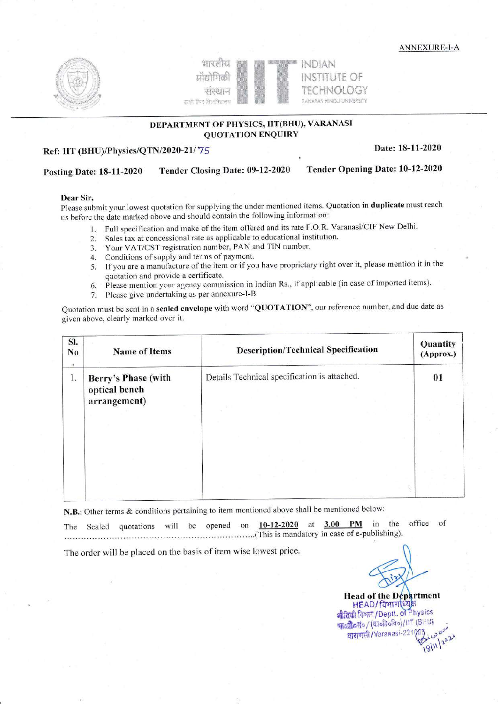**ANNEXURE-I-A** 





## DEPARTMENT OF PHYSICS, IIT(BHU), VARANASI **QUOTATION ENQUIRY**

## Ref: IIT (BHU)/Physics/QTN/2020-21/75

#### Date: 18-11-2020

#### Tender Closing Date: 09-12-2020 **Posting Date: 18-11-2020**

#### Tender Opening Date: 10-12-2020

#### Dear Sir,

Please submit your lowest quotation for supplying the under mentioned items. Quotation in duplicate must reach us before the date marked above and should contain the following information:

- 1. Full specification and make of the item offered and its rate F.O.R. Varanasi/CIF New Delhi.
- 2. Sales tax at concessional rate as applicable to educational institution.
- 3. Your VAT/CST registration number, PAN and TIN number.
- 4. Conditions of supply and terms of payment.
- 5. If you are a manufacture of the item or if you have proprietary right over it, please mention it in the quotation and provide a certificate.
- 6. Please mention your agency commission in Indian Rs., if applicable (in case of imported items).
- Please give undertaking as per annexure-I-B 7.

Quotation must be sent in a sealed envelope with word "QUOTATION", our reference number, and due date as given above, clearly marked over it.

| SI.<br>No<br>٠ | <b>Name of Items</b>                                 | <b>Description/Technical Specification</b>   | Quantity<br>(Approx.) |
|----------------|------------------------------------------------------|----------------------------------------------|-----------------------|
| 1.             | Berry's Phase (with<br>optical bench<br>arrangement) | Details Technical specification is attached. | 01                    |
|                |                                                      |                                              |                       |
|                |                                                      |                                              |                       |

N.B.: Other terms & conditions pertaining to item mentioned above shall be mentioned below:

**PM** in the office of 10-12-2020 at  $3.00$ opened on will be The Sealed quotations This is mandatory in case of e-publishing).

The order will be placed on the basis of item wise lowest price.

**Head of the Department** 

 $50$ 18/11/2020

HEAD/ विभाग[ध्य] भौतिकी विभाग/Deptt. of Physics भावग्री करां० / (कार्बाबर्बिक) / IIT (BHU) वाराणसी/Varanasi-2217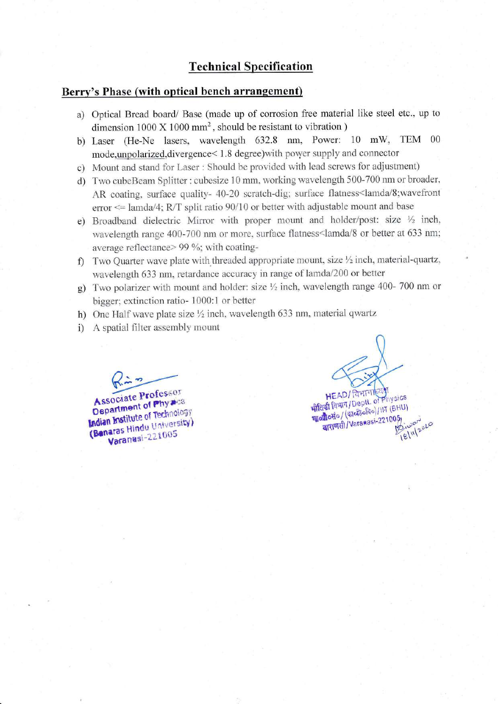# **Technical Specification**

## Berry's Phase (with optical bench arrangement)

- a) Optical Bread board/ Base (made up of corrosion free material like steel etc., up to dimension  $1000 \times 1000$  mm<sup>2</sup>, should be resistant to vibration)
- b) Laser (He-Ne lasers, wavelength 632.8 nm, Power: 10 mW, TEM 00 mode, unpolarized, divergence<1.8 degree) with power supply and connector
- c) Mount and stand for Laser : Should be provided with lead screws for adjustment)
- d) Two cubeBeam Splitter: cubesize 10 mm, working wavelength 500-700 nm or broader, AR coating, surface quality- 40-20 scratch-dig; surface flatness<lamda/8; wavefront error  $\leq$  lamda/4; R/T split ratio 90/10 or better with adjustable mount and base
- e) Broadband dielectric Mirror with proper mount and holder/post: size 1/2 inch, wavelength range 400-700 nm or more, surface flatness<lamda/8 or better at 633 nm; average reflectance> 99 %; with coating-
- f) Two Quarter wave plate with threaded appropriate mount, size  $\frac{1}{2}$  inch, material-quartz, wavelength 633 nm, retardance accuracy in range of lamda/200 or better
- g) Two polarizer with mount and holder: size  $\frac{1}{2}$  inch, wavelength range 400-700 nm or bigger; extinction ratio-1000:1 or better
- h) One Half wave plate size 1/2 inch, wavelength 633 nm, material qwartz
- i) A spatial filter assembly mount

Associate Professor Department of Physica **Indian Institute of Technology** (Banaras Hindu University) Varanasi-221005

**HEAD/ विभागाहिय** भौतिकी विभाग /Deptt. of Physics था**औ**oसo / (कार्बरे (वेव) / IIT (BHU) वाराणसी/Varanasi-221005 18/11/2020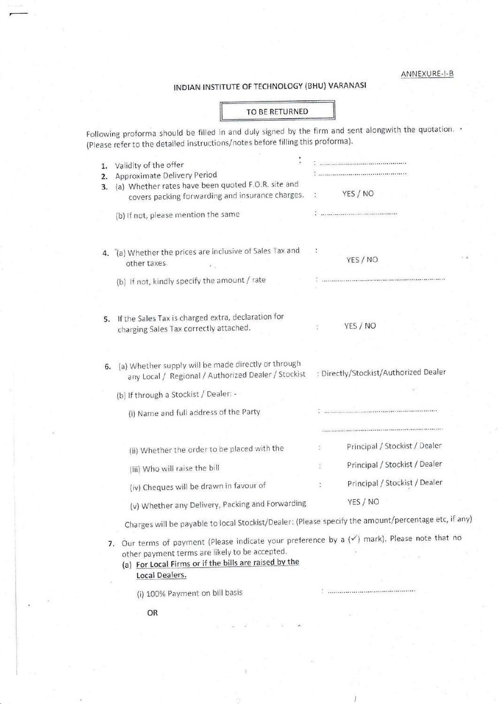#### ANNEXURE-I-B

# INDIAN INSTITUTE OF TECHNOLOGY (BHU) VARANASI

#### TO BE RETURNED

Following proforma should be filled in and duly signed by the firm and sent alongwith the quotation.  $\cdot$ (Please refer to the detailed instructions/notes before filling this proforma).

| 1.<br>2.<br>3. | Validity of the offer<br>Approximate Delivery Period<br>(a) Whether rates have been quoted F.O.R. site and<br>covers packing forwarding and insurance charges. | YES / NO                                                                                                                                                                                                                                                                                                             |
|----------------|----------------------------------------------------------------------------------------------------------------------------------------------------------------|----------------------------------------------------------------------------------------------------------------------------------------------------------------------------------------------------------------------------------------------------------------------------------------------------------------------|
|                | (b) If not, please mention the same                                                                                                                            |                                                                                                                                                                                                                                                                                                                      |
|                |                                                                                                                                                                |                                                                                                                                                                                                                                                                                                                      |
|                | 4. (a) Whether the prices are inclusive of Sales Tax and<br>other taxes.                                                                                       | YES / NO                                                                                                                                                                                                                                                                                                             |
|                | (b) If not, kindly specify the amount / rate                                                                                                                   |                                                                                                                                                                                                                                                                                                                      |
|                |                                                                                                                                                                |                                                                                                                                                                                                                                                                                                                      |
|                | 5. If the Sales Tax is charged extra, declaration for<br>charging Sales Tax correctly attached.                                                                | YES / NO                                                                                                                                                                                                                                                                                                             |
| 6.             | (a) Whether supply will be made directly or through<br>any Local / Regional / Authorized Dealer / Stockist                                                     | : Directly/Stockist/Authorized Dealer                                                                                                                                                                                                                                                                                |
|                | (b) If through a Stockist / Dealer: -                                                                                                                          |                                                                                                                                                                                                                                                                                                                      |
|                | (i) Name and full address of the Party                                                                                                                         |                                                                                                                                                                                                                                                                                                                      |
|                |                                                                                                                                                                |                                                                                                                                                                                                                                                                                                                      |
|                | (ii) Whether the order to be placed with the                                                                                                                   | Principal / Stockist / Dealer                                                                                                                                                                                                                                                                                        |
|                | (iii) Who will raise the bill                                                                                                                                  | Principal / Stockist / Dealer                                                                                                                                                                                                                                                                                        |
|                | (iv) Cheques will be drawn in favour of                                                                                                                        | Principal / Stockist / Dealer                                                                                                                                                                                                                                                                                        |
|                | (v) Whether any Delivery, Packing and Forwarding                                                                                                               | YES / NO                                                                                                                                                                                                                                                                                                             |
|                | Charges will be payable to local Stockist/Dealer: (Please specify the amount/percentage etc, if any                                                            |                                                                                                                                                                                                                                                                                                                      |
|                |                                                                                                                                                                | $\sim$ $\sqrt{2}$ $\sim$ $\sqrt{3}$ $\approx$ $\sqrt{2}$ $\sim$ $\sqrt{2}$ $\sim$ $\sqrt{2}$ $\sim$ $\sqrt{2}$ $\sim$ $\sqrt{2}$ $\sim$ $\sqrt{2}$ $\sim$ $\sqrt{2}$ $\sim$ $\sqrt{2}$ $\sim$ $\sqrt{2}$ $\sim$ $\sqrt{2}$ $\sim$ $\sqrt{2}$ $\sim$ $\sqrt{2}$ $\sim$ $\sqrt{2}$ $\sim$ $\sqrt{2}$ $\sim$ $\sqrt{2}$ |

7. Our terms of payment (Please indicate your preference by a  $(\checkmark)$  mark). Please note that no other payment terms are likely to be accepted.

 $\frac{1}{2}$  ,  $\frac{1}{2}$  ,  $\frac{1}{2}$  ,  $\frac{1}{2}$  ,  $\frac{1}{2}$  ,  $\frac{1}{2}$  ,  $\frac{1}{2}$  ,  $\frac{1}{2}$  ,  $\frac{1}{2}$  ,  $\frac{1}{2}$  ,  $\frac{1}{2}$  ,  $\frac{1}{2}$  ,  $\frac{1}{2}$  ,  $\frac{1}{2}$  ,  $\frac{1}{2}$  ,  $\frac{1}{2}$  ,  $\frac{1}{2}$  ,  $\frac{1}{2}$  ,  $\frac{1$ 

(a) For Local Firms or if the bills are raised by the Local Dealers.

(i) 100% Payment on bill basis

OR

.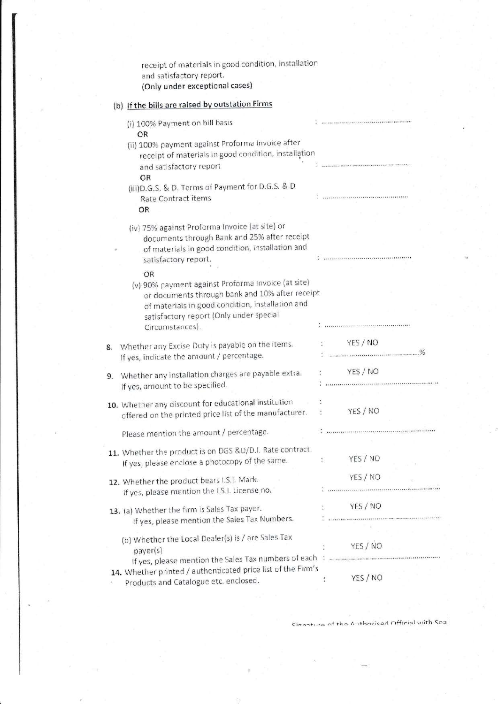|    | receipt of materials in good condition, installation<br>and satisfactory report.<br>(Only under exceptional cases)                                                                                                            |                                                                                                                                                                                                      |  |
|----|-------------------------------------------------------------------------------------------------------------------------------------------------------------------------------------------------------------------------------|------------------------------------------------------------------------------------------------------------------------------------------------------------------------------------------------------|--|
|    | (b) If the bills are raised by outstation Firms                                                                                                                                                                               |                                                                                                                                                                                                      |  |
|    | (i) 100% Payment on bill basis<br>OR                                                                                                                                                                                          |                                                                                                                                                                                                      |  |
|    | (ii) 100% payment against Proforma Invoice after<br>receipt of materials in good condition, installation                                                                                                                      |                                                                                                                                                                                                      |  |
|    | and satisfactory report<br>OR                                                                                                                                                                                                 |                                                                                                                                                                                                      |  |
|    | (iii) D.G.S. & D. Terms of Payment for D.G.S. & D<br>Rate Contract items<br>OR                                                                                                                                                |                                                                                                                                                                                                      |  |
|    | (iv) 75% against Proforma Invoice (at site) or<br>documents through Bank and 25% after receipt<br>of materials in good condition, installation and<br>satisfactory report.                                                    |                                                                                                                                                                                                      |  |
|    | OR<br>(v) 90% payment against Proforma Invoice (at site)<br>or documents through bank and 10% after receipt<br>of materials in good condition, installation and<br>satisfactory report (Only under special<br>Circumstances). |                                                                                                                                                                                                      |  |
| 8. | Whether any Excise Duty is payable on the items.<br>If yes, indicate the amount / percentage.                                                                                                                                 | YES / NO                                                                                                                                                                                             |  |
| 9. | Whether any installation charges are payable extra.<br>If yes, amount to be specified.                                                                                                                                        | YES / NO                                                                                                                                                                                             |  |
|    | 10. Whether any discount for educational institution<br>offered on the printed price list of the manufacturer.                                                                                                                | YES / NO                                                                                                                                                                                             |  |
|    | Please mention the amount / percentage.                                                                                                                                                                                       |                                                                                                                                                                                                      |  |
|    | 11. Whether the product is on DGS &D/D.I. Rate contract.<br>If yes, please enclose a photocopy of the same.                                                                                                                   | YES / NO<br>t.                                                                                                                                                                                       |  |
|    | 12. Whether the product bears I.S.I. Mark.<br>If yes, please mention the I.S.I. License no.                                                                                                                                   | YES / NO<br>a<br>2. – Landard van de Carlos de Carlos de Carlos de Landard en 1980.<br>2. – Landard van de Carlos de Carlos de Carlos de Carlos de Carlos de Carlos de Carlos de Carlos de Carlos de |  |
|    | 13. (a) Whether the firm is Sales Tax payer.<br>If yes, please mention the Sales Tax Numbers.                                                                                                                                 | YES / NO                                                                                                                                                                                             |  |
|    | (b) Whether the Local Dealer(s) is / are Sales Tax<br>payer(s)                                                                                                                                                                | YES / NO                                                                                                                                                                                             |  |
|    | 14. Whether printed / authenticated price list of the Firm's<br>Products and Catalogue etc. enclosed.                                                                                                                         | YES / NO<br>÷                                                                                                                                                                                        |  |

Cinnature of the Authoriced Official with Seal